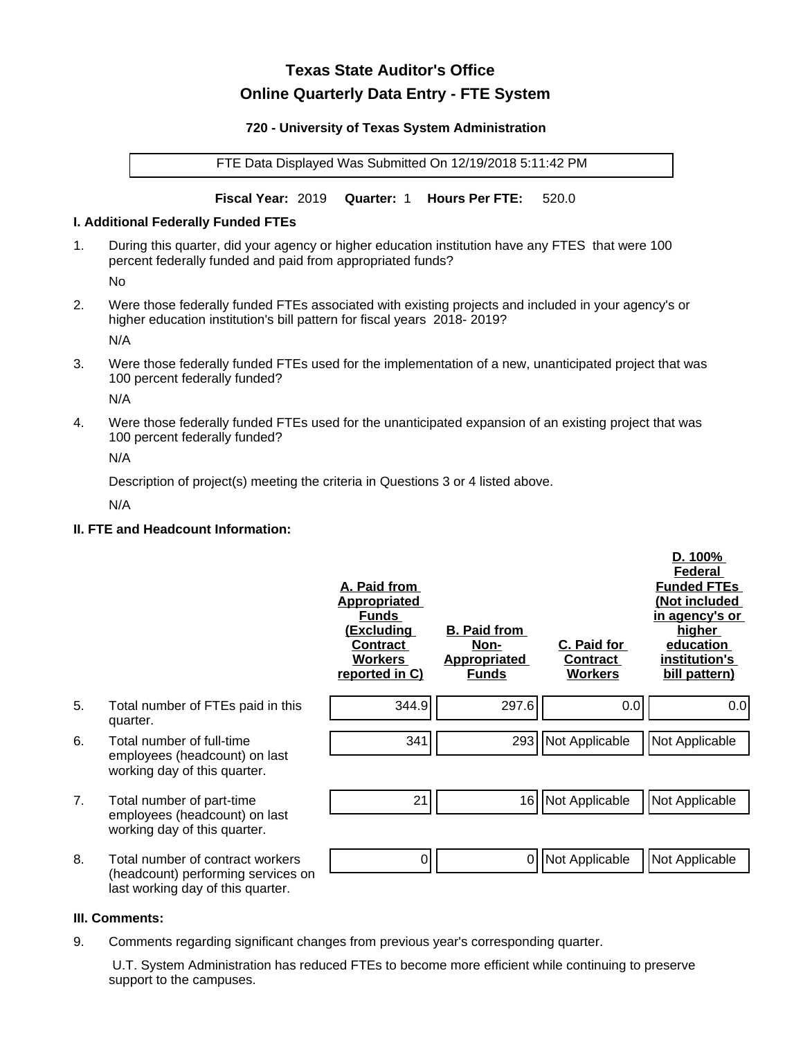# **Texas State Auditor's Office Online Quarterly Data Entry - FTE System**

#### **720 - University of Texas System Administration**

FTE Data Displayed Was Submitted On 12/19/2018 5:11:42 PM

**Fiscal Year:** 2019 **Quarter:** 1 **Hours Per FTE:** 520.0

#### **I. Additional Federally Funded FTEs**

1. During this quarter, did your agency or higher education institution have any FTES that were 100 percent federally funded and paid from appropriated funds?

No

2. Were those federally funded FTEs associated with existing projects and included in your agency's or higher education institution's bill pattern for fiscal years 2018- 2019?

N/A

3. Were those federally funded FTEs used for the implementation of a new, unanticipated project that was 100 percent federally funded?

N/A

4. Were those federally funded FTEs used for the unanticipated expansion of an existing project that was 100 percent federally funded?

N/A

Description of project(s) meeting the criteria in Questions 3 or 4 listed above.

N/A

## **II. FTE and Headcount Information:**

|    |                                                                                                             | A. Paid from<br><b>Appropriated</b><br><b>Funds</b><br><u>(Excluding</u><br><b>Contract</b><br><b>Workers</b><br>reported in C) | <b>B. Paid from</b><br><u>Non-</u><br><b>Appropriated</b><br><b>Funds</b> | <b>C. Paid for</b><br>Contract<br><b>Workers</b> | D. 100%<br><b>Federal</b><br><b>Funded FTEs</b><br>(Not included<br>in agency's or<br><u>higher</u><br>education<br>institution's<br>bill pattern) |
|----|-------------------------------------------------------------------------------------------------------------|---------------------------------------------------------------------------------------------------------------------------------|---------------------------------------------------------------------------|--------------------------------------------------|----------------------------------------------------------------------------------------------------------------------------------------------------|
| 5. | Total number of FTEs paid in this<br>quarter.                                                               | 344.9                                                                                                                           | 297.6                                                                     | 0.0                                              | 0.0                                                                                                                                                |
| 6. | Total number of full-time<br>employees (headcount) on last<br>working day of this quarter.                  | 341                                                                                                                             | 293                                                                       | Not Applicable                                   | Not Applicable                                                                                                                                     |
| 7. | Total number of part-time<br>employees (headcount) on last<br>working day of this quarter.                  | 21                                                                                                                              | 16                                                                        | Not Applicable                                   | Not Applicable                                                                                                                                     |
| 8. | Total number of contract workers<br>(headcount) performing services on<br>last working day of this quarter. | 0                                                                                                                               | $\overline{0}$                                                            | Not Applicable                                   | Not Applicable                                                                                                                                     |

## **III. Comments:**

9. Comments regarding significant changes from previous year's corresponding quarter.

 U.T. System Administration has reduced FTEs to become more efficient while continuing to preserve support to the campuses.